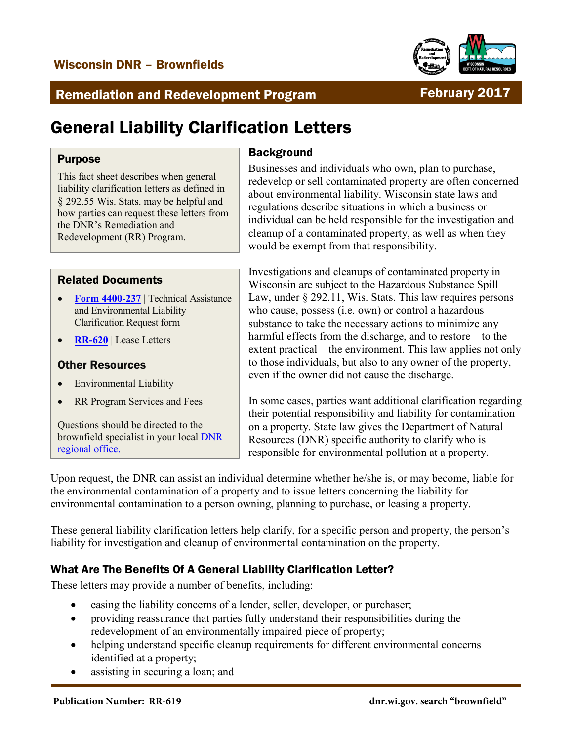

# Remediation and Redevelopment Program February 2017

# General Liability Clarification Letters

#### Purpose

This fact sheet describes when general liability clarification letters as defined in § 292.55 Wis. Stats. may be helpful and how parties can request these letters from the DNR's Remediation and Redevelopment (RR) Program.

#### Related Documents

- **[Form 4400-237](http://dnr.wi.gov/files/PDF/forms/4400/4400-237.pdf)** | [Technical Assistance](http://dnr.wi.gov/files/PDF/forms/4400/4400-237.pdf)  [and Environmental Liability](http://dnr.wi.gov/files/PDF/forms/4400/4400-237.pdf)  [Clarification Request](http://dnr.wi.gov/files/PDF/forms/4400/4400-237.pdf) form
- **[RR-620](http://dnr.wi.gov/files/PDF/pubs/rr/RR620.pdf)** | [Lease Letters](http://dnr.wi.gov/files/PDF/pubs/rr/RR620.pdf)

#### Other Resources

- [Environmental Liability](http://dnr.wi.gov/topic/Brownfields/Liability.html)
- [RR Program Services and Fees](http://dnr.wi.gov/topic/Brownfields/Fees.html)

Questions should be directed to the brownfield specialist in your loca[l DNR](http://dnr.wi.gov/topic/Brownfields/Contact.html)  [regional office.](http://dnr.wi.gov/topic/Brownfields/Contact.html)

# **Background**

Businesses and individuals who own, plan to purchase, redevelop or sell contaminated property are often concerned about environmental liability. Wisconsin state laws and regulations describe situations in which a business or individual can be held responsible for the investigation and cleanup of a contaminated property, as well as when they would be exempt from that responsibility.

Investigations and cleanups of contaminated property in Wisconsin are subject to the Hazardous Substance Spill Law, under § 292.11, Wis. Stats. This law requires persons who cause, possess (i.e. own) or control a hazardous substance to take the necessary actions to minimize any harmful effects from the discharge, and to restore – to the extent practical – the environment. This law applies not only to those individuals, but also to any owner of the property, even if the owner did not cause the discharge.

In some cases, parties want additional clarification regarding their potential responsibility and liability for contamination on a property. State law gives the Department of Natural Resources (DNR) specific authority to clarify who is responsible for environmental pollution at a property.

Upon request, the DNR can assist an individual determine whether he/she is, or may become, liable for the environmental contamination of a property and to issue letters concerning the liability for environmental contamination to a person owning, planning to purchase, or leasing a property.

These general liability clarification letters help clarify, for a specific person and property, the person's liability for investigation and cleanup of environmental contamination on the property.

### What Are The Benefits Of A General Liability Clarification Letter?

These letters may provide a number of benefits, including:

- easing the liability concerns of a lender, seller, developer, or purchaser;
- providing reassurance that parties fully understand their responsibilities during the redevelopment of an environmentally impaired piece of property;
- helping understand specific cleanup requirements for different environmental concerns identified at a property;
- assisting in securing a loan; and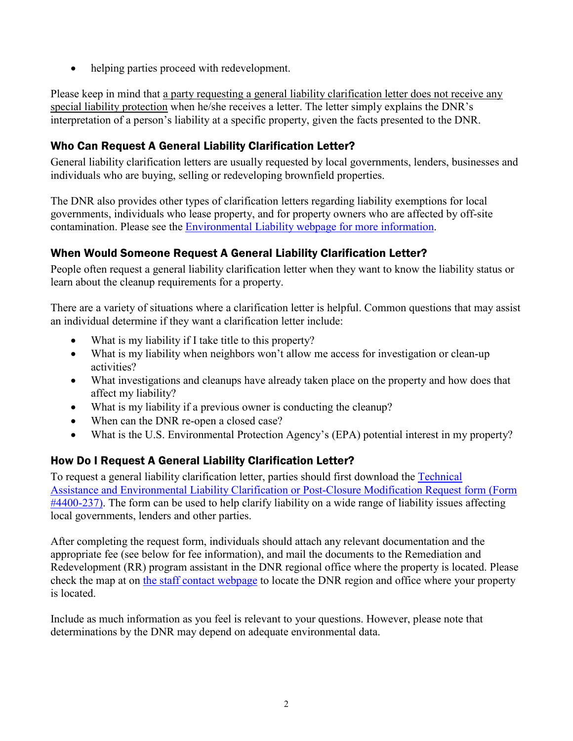• helping parties proceed with redevelopment.

Please keep in mind that a party requesting a general liability clarification letter does not receive any special liability protection when he/she receives a letter. The letter simply explains the DNR's interpretation of a person's liability at a specific property, given the facts presented to the DNR.

# Who Can Request A General Liability Clarification Letter?

General liability clarification letters are usually requested by local governments, lenders, businesses and individuals who are buying, selling or redeveloping brownfield properties.

The DNR also provides other types of clarification letters regarding liability exemptions for local governments, individuals who lease property, and for property owners who are affected by off-site contamination. Please see the [Environmental Liability webpage for more information.](http://dnr.wi.gov/topic/Brownfields/Liability.html)

### When Would Someone Request A General Liability Clarification Letter?

People often request a general liability clarification letter when they want to know the liability status or learn about the cleanup requirements for a property.

There are a variety of situations where a clarification letter is helpful. Common questions that may assist an individual determine if they want a clarification letter include:

- What is my liability if I take title to this property?
- What is my liability when neighbors won't allow me access for investigation or clean-up activities?
- What investigations and cleanups have already taken place on the property and how does that affect my liability?
- What is my liability if a previous owner is conducting the cleanup?
- When can the DNR re-open a closed case?
- What is the U.S. Environmental Protection Agency's (EPA) potential interest in my property?

# How Do I Request A General Liability Clarification Letter?

To request a general liability clarification letter, parties should first download the [Technical](http://dnr.wi.gov/files/PDF/forms/4400/4400-237.pdf)  [Assistance and Environmental Liability Clarification or Post-Closure Modification Request](http://dnr.wi.gov/files/PDF/forms/4400/4400-237.pdf) form (Form [#4400-237\).](http://dnr.wi.gov/files/PDF/forms/4400/4400-237.pdf) The form can be used to help clarify liability on a wide range of liability issues affecting local governments, lenders and other parties.

After completing the request form, individuals should attach any relevant documentation and the appropriate fee (see below for fee information), and mail the documents to the Remediation and Redevelopment (RR) program assistant in the DNR regional office where the property is located. Please check the map at on [the staff contact webpage](http://dnr.wi.gov/topic/Brownfields/Contact.html) to locate the DNR region and office where your property is located.

Include as much information as you feel is relevant to your questions. However, please note that determinations by the DNR may depend on adequate environmental data.